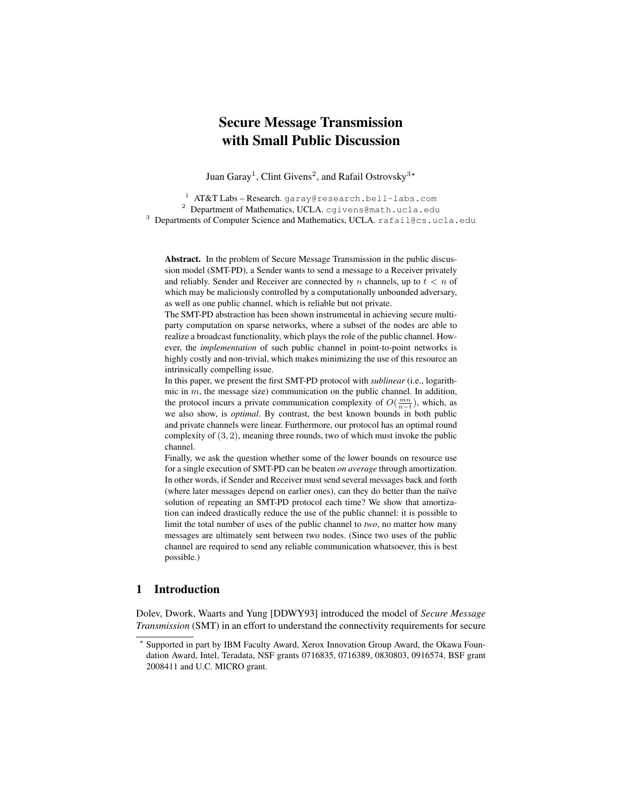# Secure Message Transmission with Small Public Discussion

Juan Garay<sup>1</sup>, Clint Givens<sup>2</sup>, and Rafail Ostrovsky<sup>3</sup>\*

<sup>1</sup> AT&T Labs - Research. garay@research.bell-labs.com <sup>2</sup> Department of Mathematics, UCLA. cgivens@math.ucla.edu <sup>3</sup> Departments of Computer Science and Mathematics, UCLA. rafail@cs.ucla.edu

Abstract. In the problem of Secure Message Transmission in the public discussion model (SMT-PD), a Sender wants to send a message to a Receiver privately and reliably. Sender and Receiver are connected by n channels, up to  $t < n$  of which may be maliciously controlled by a computationally unbounded adversary, as well as one public channel, which is reliable but not private.

The SMT-PD abstraction has been shown instrumental in achieving secure multiparty computation on sparse networks, where a subset of the nodes are able to realize a broadcast functionality, which plays the role of the public channel. However, the *implementation* of such public channel in point-to-point networks is highly costly and non-trivial, which makes minimizing the use of this resource an intrinsically compelling issue.

In this paper, we present the first SMT-PD protocol with *sublinear* (i.e., logarithmic in  $m$ , the message size) communication on the public channel. In addition, the protocol incurs a private communication complexity of  $O(\frac{mn}{n-t})$ , which, as we also show, is *optimal*. By contrast, the best known bounds in both public and private channels were linear. Furthermore, our protocol has an optimal round complexity of (3, 2), meaning three rounds, two of which must invoke the public channel.

Finally, we ask the question whether some of the lower bounds on resource use for a single execution of SMT-PD can be beaten *on average* through amortization. In other words, if Sender and Receiver must send several messages back and forth (where later messages depend on earlier ones), can they do better than the naïve solution of repeating an SMT-PD protocol each time? We show that amortization can indeed drastically reduce the use of the public channel: it is possible to limit the total number of uses of the public channel to *two*, no matter how many messages are ultimately sent between two nodes. (Since two uses of the public channel are required to send any reliable communication whatsoever, this is best possible.)

# 1 Introduction

Dolev, Dwork, Waarts and Yung [DDWY93] introduced the model of *Secure Message Transmission* (SMT) in an effort to understand the connectivity requirements for secure

<sup>?</sup> Supported in part by IBM Faculty Award, Xerox Innovation Group Award, the Okawa Foundation Award, Intel, Teradata, NSF grants 0716835, 0716389, 0830803, 0916574, BSF grant 2008411 and U.C. MICRO grant.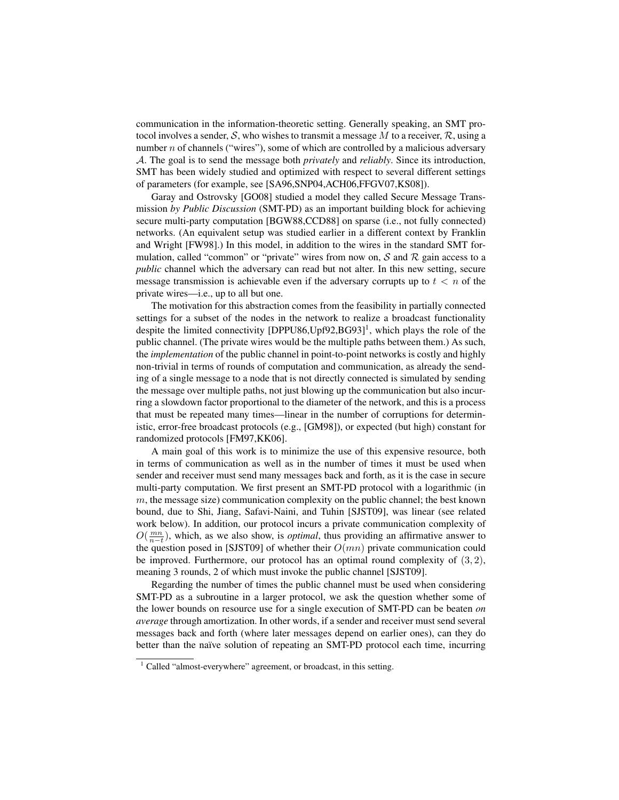communication in the information-theoretic setting. Generally speaking, an SMT protocol involves a sender, S, who wishes to transmit a message M to a receiver,  $\mathcal{R}$ , using a number  $n$  of channels ("wires"), some of which are controlled by a malicious adversary A. The goal is to send the message both *privately* and *reliably*. Since its introduction, SMT has been widely studied and optimized with respect to several different settings of parameters (for example, see [SA96,SNP04,ACH06,FFGV07,KS08]).

Garay and Ostrovsky [GO08] studied a model they called Secure Message Transmission *by Public Discussion* (SMT-PD) as an important building block for achieving secure multi-party computation [BGW88,CCD88] on sparse (i.e., not fully connected) networks. (An equivalent setup was studied earlier in a different context by Franklin and Wright [FW98].) In this model, in addition to the wires in the standard SMT formulation, called "common" or "private" wires from now on,  $S$  and  $R$  gain access to a *public* channel which the adversary can read but not alter. In this new setting, secure message transmission is achievable even if the adversary corrupts up to  $t < n$  of the private wires—i.e., up to all but one.

The motivation for this abstraction comes from the feasibility in partially connected settings for a subset of the nodes in the network to realize a broadcast functionality despite the limited connectivity  $[DPPU86, Upf92, BG93]$ <sup>1</sup>, which plays the role of the public channel. (The private wires would be the multiple paths between them.) As such, the *implementation* of the public channel in point-to-point networks is costly and highly non-trivial in terms of rounds of computation and communication, as already the sending of a single message to a node that is not directly connected is simulated by sending the message over multiple paths, not just blowing up the communication but also incurring a slowdown factor proportional to the diameter of the network, and this is a process that must be repeated many times—linear in the number of corruptions for deterministic, error-free broadcast protocols (e.g., [GM98]), or expected (but high) constant for randomized protocols [FM97,KK06].

A main goal of this work is to minimize the use of this expensive resource, both in terms of communication as well as in the number of times it must be used when sender and receiver must send many messages back and forth, as it is the case in secure multi-party computation. We first present an SMT-PD protocol with a logarithmic (in  $m$ , the message size) communication complexity on the public channel; the best known bound, due to Shi, Jiang, Safavi-Naini, and Tuhin [SJST09], was linear (see related work below). In addition, our protocol incurs a private communication complexity of  $O(\frac{mn}{n-t})$ , which, as we also show, is *optimal*, thus providing an affirmative answer to the question posed in [SJST09] of whether their  $O(mn)$  private communication could be improved. Furthermore, our protocol has an optimal round complexity of  $(3, 2)$ , meaning 3 rounds, 2 of which must invoke the public channel [SJST09].

Regarding the number of times the public channel must be used when considering SMT-PD as a subroutine in a larger protocol, we ask the question whether some of the lower bounds on resource use for a single execution of SMT-PD can be beaten *on average* through amortization. In other words, if a sender and receiver must send several messages back and forth (where later messages depend on earlier ones), can they do better than the naïve solution of repeating an SMT-PD protocol each time, incurring

<sup>&</sup>lt;sup>1</sup> Called "almost-everywhere" agreement, or broadcast, in this setting.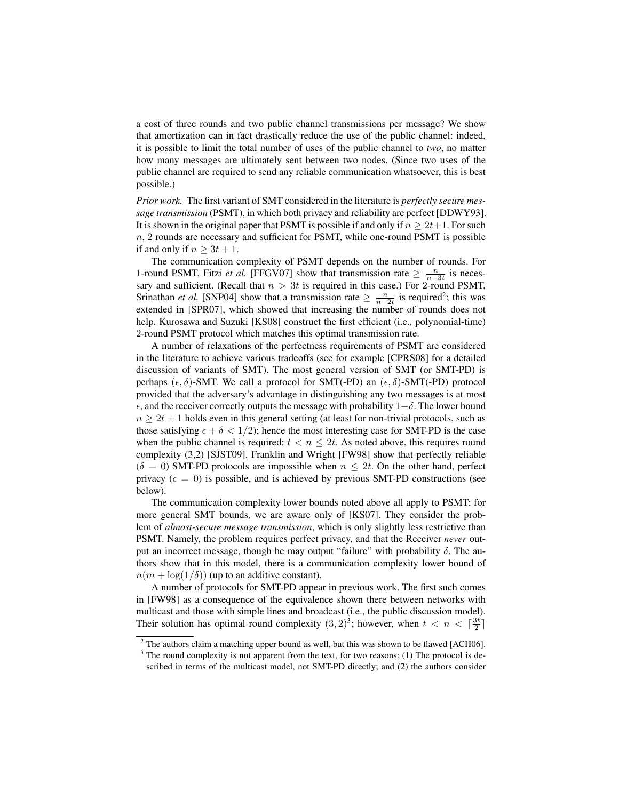a cost of three rounds and two public channel transmissions per message? We show that amortization can in fact drastically reduce the use of the public channel: indeed, it is possible to limit the total number of uses of the public channel to *two*, no matter how many messages are ultimately sent between two nodes. (Since two uses of the public channel are required to send any reliable communication whatsoever, this is best possible.)

*Prior work.* The first variant of SMT considered in the literature is *perfectly secure message transmission* (PSMT), in which both privacy and reliability are perfect [DDWY93]. It is shown in the original paper that PSMT is possible if and only if  $n \geq 2t+1$ . For such  $n$ , 2 rounds are necessary and sufficient for PSMT, while one-round PSMT is possible if and only if  $n \geq 3t + 1$ .

The communication complexity of PSMT depends on the number of rounds. For 1-round PSMT, Fitzi *et al.* [FFGV07] show that transmission rate  $\geq \frac{n}{n-3t}$  is necessary and sufficient. (Recall that  $n > 3t$  is required in this case.) For 2-round PSMT, Srinathan *et al.* [SNP04] show that a transmission rate  $\geq \frac{n}{n-2t}$  is required<sup>2</sup>; this was extended in [SPR07], which showed that increasing the number of rounds does not help. Kurosawa and Suzuki [KS08] construct the first efficient (i.e., polynomial-time) 2-round PSMT protocol which matches this optimal transmission rate.

A number of relaxations of the perfectness requirements of PSMT are considered in the literature to achieve various tradeoffs (see for example [CPRS08] for a detailed discussion of variants of SMT). The most general version of SMT (or SMT-PD) is perhaps  $(\epsilon, \delta)$ -SMT. We call a protocol for SMT(-PD) an  $(\epsilon, \delta)$ -SMT(-PD) protocol provided that the adversary's advantage in distinguishing any two messages is at most  $\epsilon$ , and the receiver correctly outputs the message with probability  $1-\delta$ . The lower bound  $n \geq 2t + 1$  holds even in this general setting (at least for non-trivial protocols, such as those satisfying  $\epsilon + \delta < 1/2$ ; hence the most interesting case for SMT-PD is the case when the public channel is required:  $t < n \leq 2t$ . As noted above, this requires round complexity (3,2) [SJST09]. Franklin and Wright [FW98] show that perfectly reliable  $(\delta = 0)$  SMT-PD protocols are impossible when  $n \leq 2t$ . On the other hand, perfect privacy ( $\epsilon = 0$ ) is possible, and is achieved by previous SMT-PD constructions (see below).

The communication complexity lower bounds noted above all apply to PSMT; for more general SMT bounds, we are aware only of [KS07]. They consider the problem of *almost-secure message transmission*, which is only slightly less restrictive than PSMT. Namely, the problem requires perfect privacy, and that the Receiver *never* output an incorrect message, though he may output "failure" with probability  $\delta$ . The authors show that in this model, there is a communication complexity lower bound of  $n(m + \log(1/\delta))$  (up to an additive constant).

A number of protocols for SMT-PD appear in previous work. The first such comes in [FW98] as a consequence of the equivalence shown there between networks with multicast and those with simple lines and broadcast (i.e., the public discussion model). Their solution has optimal round complexity  $(3,2)^3$ ; however, when  $t < n < \lceil \frac{3t}{2} \rceil$ 

 $2$  The authors claim a matching upper bound as well, but this was shown to be flawed [ACH06].

 $3$  The round complexity is not apparent from the text, for two reasons: (1) The protocol is described in terms of the multicast model, not SMT-PD directly; and (2) the authors consider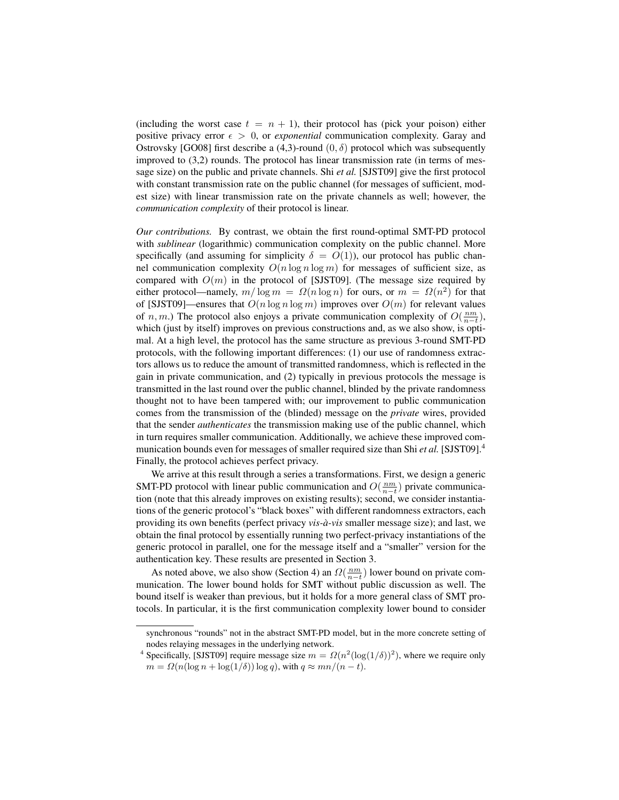(including the worst case  $t = n + 1$ ), their protocol has (pick your poison) either positive privacy error  $\epsilon > 0$ , or *exponential* communication complexity. Garay and Ostrovsky [GO08] first describe a (4,3)-round  $(0, \delta)$  protocol which was subsequently improved to (3,2) rounds. The protocol has linear transmission rate (in terms of message size) on the public and private channels. Shi *et al.* [SJST09] give the first protocol with constant transmission rate on the public channel (for messages of sufficient, modest size) with linear transmission rate on the private channels as well; however, the *communication complexity* of their protocol is linear.

*Our contributions.* By contrast, we obtain the first round-optimal SMT-PD protocol with *sublinear* (logarithmic) communication complexity on the public channel. More specifically (and assuming for simplicity  $\delta = O(1)$ ), our protocol has public channel communication complexity  $O(n \log n \log m)$  for messages of sufficient size, as compared with  $O(m)$  in the protocol of [SJST09]. (The message size required by either protocol—namely,  $m/\log m = \Omega(n \log n)$  for ours, or  $m = \Omega(n^2)$  for that of [SJST09]—ensures that  $O(n \log n \log m)$  improves over  $O(m)$  for relevant values of n, m.) The protocol also enjoys a private communication complexity of  $O(\frac{nm}{n-t})$ , which (just by itself) improves on previous constructions and, as we also show, is optimal. At a high level, the protocol has the same structure as previous 3-round SMT-PD protocols, with the following important differences: (1) our use of randomness extractors allows us to reduce the amount of transmitted randomness, which is reflected in the gain in private communication, and (2) typically in previous protocols the message is transmitted in the last round over the public channel, blinded by the private randomness thought not to have been tampered with; our improvement to public communication comes from the transmission of the (blinded) message on the *private* wires, provided that the sender *authenticates* the transmission making use of the public channel, which in turn requires smaller communication. Additionally, we achieve these improved communication bounds even for messages of smaller required size than Shi *et al.* [SJST09].<sup>4</sup> Finally, the protocol achieves perfect privacy.

We arrive at this result through a series a transformations. First, we design a generic SMT-PD protocol with linear public communication and  $O(\frac{nm}{n-t})$  private communication (note that this already improves on existing results); second, we consider instantiations of the generic protocol's "black boxes" with different randomness extractors, each providing its own benefits (perfect privacy *vis-a-vis `* smaller message size); and last, we obtain the final protocol by essentially running two perfect-privacy instantiations of the generic protocol in parallel, one for the message itself and a "smaller" version for the authentication key. These results are presented in Section 3.

As noted above, we also show (Section 4) an  $\Omega(\frac{nm}{n-t})$  lower bound on private communication. The lower bound holds for SMT without public discussion as well. The bound itself is weaker than previous, but it holds for a more general class of SMT protocols. In particular, it is the first communication complexity lower bound to consider

synchronous "rounds" not in the abstract SMT-PD model, but in the more concrete setting of nodes relaying messages in the underlying network.

<sup>&</sup>lt;sup>4</sup> Specifically, [SJST09] require message size  $m = \Omega(n^2(\log(1/\delta))^2)$ , where we require only  $m = \Omega(n(\log n + \log(1/\delta)) \log q)$ , with  $q \approx mn/(n - t)$ .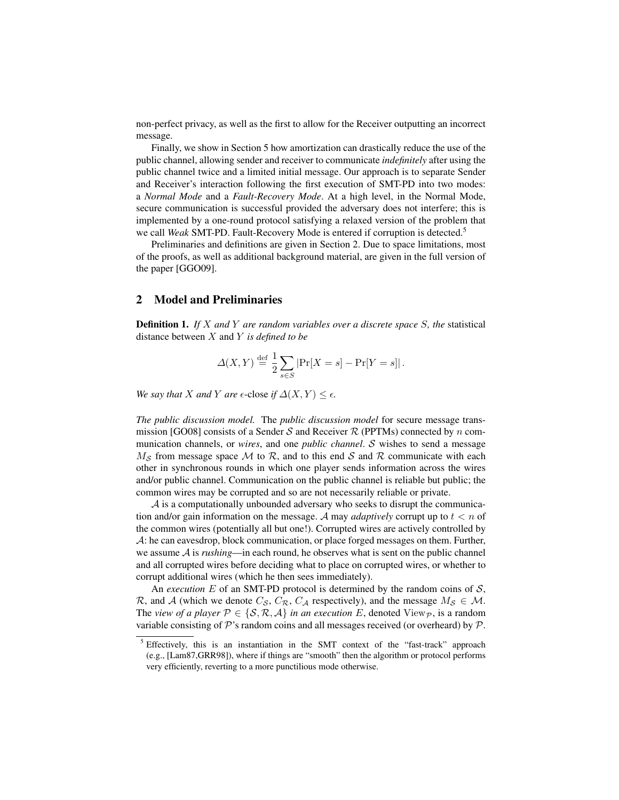non-perfect privacy, as well as the first to allow for the Receiver outputting an incorrect message.

Finally, we show in Section 5 how amortization can drastically reduce the use of the public channel, allowing sender and receiver to communicate *indefinitely* after using the public channel twice and a limited initial message. Our approach is to separate Sender and Receiver's interaction following the first execution of SMT-PD into two modes: a *Normal Mode* and a *Fault-Recovery Mode*. At a high level, in the Normal Mode, secure communication is successful provided the adversary does not interfere; this is implemented by a one-round protocol satisfying a relaxed version of the problem that we call *Weak* SMT-PD. Fault-Recovery Mode is entered if corruption is detected.<sup>5</sup>

Preliminaries and definitions are given in Section 2. Due to space limitations, most of the proofs, as well as additional background material, are given in the full version of the paper [GGO09].

# 2 Model and Preliminaries

Definition 1. *If* X *and* Y *are random variables over a discrete space* S*, the* statistical distance between X and Y *is defined to be*

$$
\Delta(X,Y) \stackrel{\text{def}}{=} \frac{1}{2} \sum_{s \in S} |\Pr[X=s] - \Pr[Y=s]|.
$$

*We say that X and Y are*  $\epsilon$ -close *if*  $\Delta(X, Y) \leq \epsilon$ .

*The public discussion model.* The *public discussion model* for secure message transmission [GO08] consists of a Sender S and Receiver  $R$  (PPTMs) connected by n communication channels, or *wires*, and one *public channel*. S wishes to send a message  $M<sub>S</sub>$  from message space M to R, and to this end S and R communicate with each other in synchronous rounds in which one player sends information across the wires and/or public channel. Communication on the public channel is reliable but public; the common wires may be corrupted and so are not necessarily reliable or private.

A is a computationally unbounded adversary who seeks to disrupt the communication and/or gain information on the message. A may *adaptively* corrupt up to  $t < n$  of the common wires (potentially all but one!). Corrupted wires are actively controlled by A: he can eavesdrop, block communication, or place forged messages on them. Further, we assume A is *rushing*—in each round, he observes what is sent on the public channel and all corrupted wires before deciding what to place on corrupted wires, or whether to corrupt additional wires (which he then sees immediately).

An *execution*  $E$  of an SMT-PD protocol is determined by the random coins of  $S$ , R, and A (which we denote  $C_S$ ,  $C_R$ ,  $C_A$  respectively), and the message  $M_S \in \mathcal{M}$ . The *view of a player*  $P \in \{S, R, A\}$  *in an execution* E, denoted View<sub>P</sub>, is a random variable consisting of  $\mathcal P$ 's random coins and all messages received (or overheard) by  $\mathcal P$ .

<sup>5</sup> Effectively, this is an instantiation in the SMT context of the "fast-track" approach (e.g., [Lam87,GRR98]), where if things are "smooth" then the algorithm or protocol performs very efficiently, reverting to a more punctilious mode otherwise.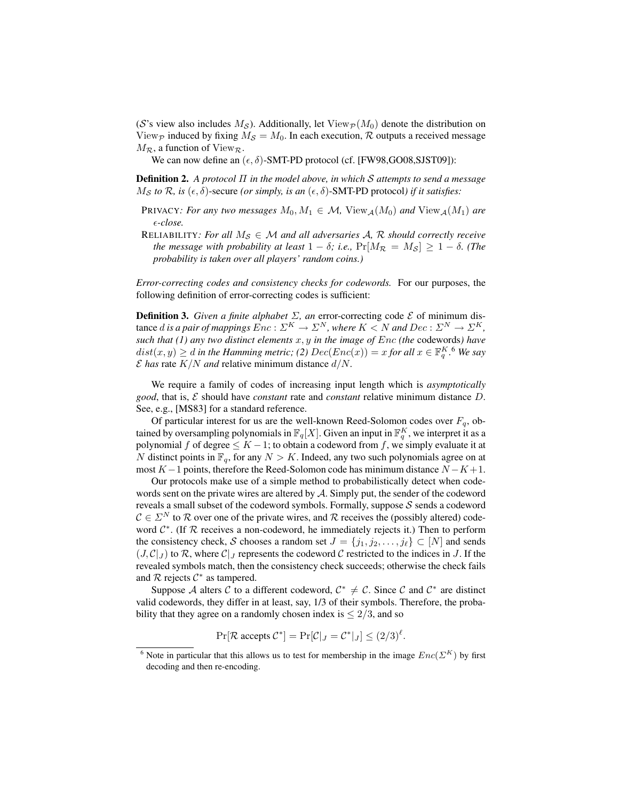(S's view also includes  $M_{\rm S}$ ). Additionally, let View $_{\rm P}(M_0)$  denote the distribution on View<sub>P</sub> induced by fixing  $M_S = M_0$ . In each execution, R outputs a received message  $M_{\mathcal{R}}$ , a function of View $_{\mathcal{R}}$ .

We can now define an  $(\epsilon, \delta)$ -SMT-PD protocol (cf. [FW98,GO08,SJST09]):

Definition 2. *A protocol* Π *in the model above, in which* S *attempts to send a message*  $M_{\mathcal{S}}$  *to*  $\mathcal{R}$ *, is* ( $\epsilon$ *, δ*)-secure (*or simply, is an* ( $\epsilon$ *, δ*)-SMT-PD protocol*) if it satisfies*:

- PRIVACY*: For any two messages*  $M_0, M_1 \in \mathcal{M}$ , View<sub>A</sub> $(M_0)$  *and* View<sub>A</sub> $(M_1)$  *are -close.*
- RELIABILITY: For all  $M_S \in \mathcal{M}$  and all adversaries A, R should correctly receive *the message with probability at least*  $1 - \delta$ *; i.e.,*  $Pr[M_{\mathcal{R}} = M_{\mathcal{S}}] \ge 1 - \delta$ *. (The probability is taken over all players' random coins.)*

*Error-correcting codes and consistency checks for codewords.* For our purposes, the following definition of error-correcting codes is sufficient:

**Definition 3.** *Given a finite alphabet*  $\Sigma$ , *an* error-correcting code  $\mathcal{E}$  of minimum distance d is a pair of mappings  $\overline{Enc}: \Sigma^K \to \Sigma^N$ , where  $K < N$  and  $Dec: \Sigma^N \to \Sigma^K$ , *such that (1) any two distinct elements* x, y *in the image of* Enc *(the* codewords*) have*  $dist(x, y) \geq d$  in the Hamming metric; (2)  $Dec(Enc(x)) = x$  for all  $x \in \mathbb{F}_q^{K}$ . We say  $\mathcal E$  has rate  $K/N$  and relative minimum distance  $d/N$ .

We require a family of codes of increasing input length which is *asymptotically good*, that is, E should have *constant* rate and *constant* relative minimum distance D. See, e.g., [MS83] for a standard reference.

Of particular interest for us are the well-known Reed-Solomon codes over  $F_q$ , obtained by oversampling polynomials in  $\mathbb{F}_q[X]$ . Given an input in  $\mathbb{F}_q^K$ , we interpret it as a polynomial f of degree  $\leq K - 1$ ; to obtain a codeword from f, we simply evaluate it at N distinct points in  $\mathbb{F}_q$ , for any  $N > K$ . Indeed, any two such polynomials agree on at most  $K - 1$  points, therefore the Reed-Solomon code has minimum distance  $N - K + 1$ .

Our protocols make use of a simple method to probabilistically detect when codewords sent on the private wires are altered by A. Simply put, the sender of the codeword reveals a small subset of the codeword symbols. Formally, suppose  $S$  sends a codeword  $C \in \Sigma^N$  to R over one of the private wires, and R receives the (possibly altered) codeword  $C^*$ . (If  $R$  receives a non-codeword, he immediately rejects it.) Then to perform the consistency check, S chooses a random set  $J = \{j_1, j_2, \ldots, j_\ell\} \subset [N]$  and sends  $(J, \mathcal{C}|_J)$  to  $\mathcal{R}$ , where  $\mathcal{C}|_J$  represents the codeword  $\mathcal{C}$  restricted to the indices in J. If the revealed symbols match, then the consistency check succeeds; otherwise the check fails and  $R$  rejects  $C^*$  as tampered.

Suppose A alters C to a different codeword,  $C^* \neq C$ . Since C and  $C^*$  are distinct valid codewords, they differ in at least, say, 1/3 of their symbols. Therefore, the probability that they agree on a randomly chosen index is  $\leq 2/3$ , and so

$$
\Pr[\mathcal{R}\text{ accepts }\mathcal{C}^*] = \Pr[\mathcal{C}|_J = \mathcal{C}^*|_J] \le (2/3)^{\ell}.
$$

<sup>&</sup>lt;sup>6</sup> Note in particular that this allows us to test for membership in the image  $Enc(\Sigma^K)$  by first decoding and then re-encoding.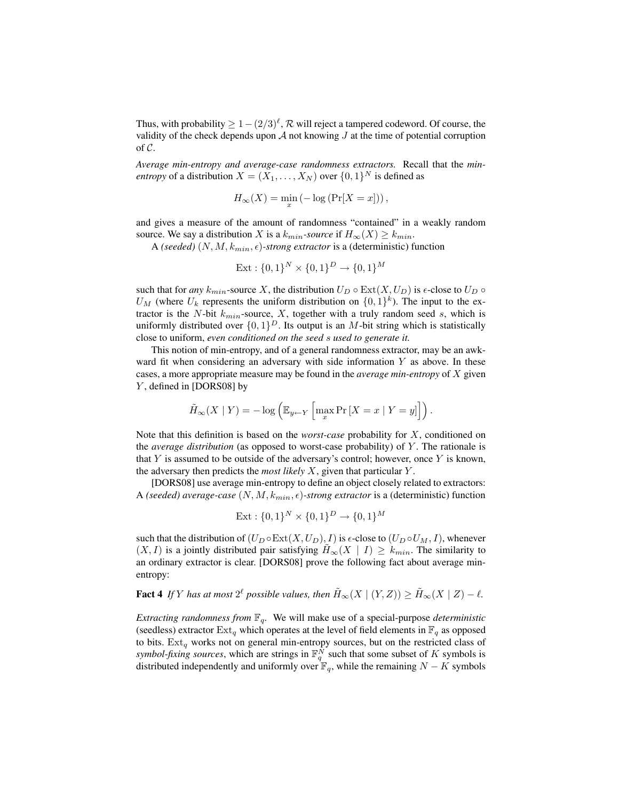Thus, with probability  $\geq 1-(2/3)^{\ell}$ ,  $\mathcal R$  will reject a tampered codeword. Of course, the validity of the check depends upon  $A$  not knowing  $J$  at the time of potential corruption of  $C$ .

*Average min-entropy and average-case randomness extractors.* Recall that the *minentropy* of a distribution  $X = (X_1, \ldots, X_N)$  over  $\{0, 1\}^N$  is defined as

$$
H_{\infty}(X) = \min_{x} \left( -\log \left( \Pr[X = x] \right) \right),\,
$$

and gives a measure of the amount of randomness "contained" in a weakly random source. We say a distribution X is a  $k_{min}$ -source if  $H_{\infty}(X) \geq k_{min}$ .

A *(seeded)*  $(N, M, k_{min}, \epsilon)$ -strong extractor is a *(deterministic)* function

$$
Ext: \{0,1\}^N \times \{0,1\}^D \to \{0,1\}^M
$$

such that for *any*  $k_{min}$ -source X, the distribution  $U_D \circ \text{Ext}(X, U_D)$  is  $\epsilon$ -close to  $U_D \circ$  $U_M$  (where  $U_k$  represents the uniform distribution on  $\{0,1\}^k$ ). The input to the extractor is the N-bit  $k_{min}$ -source, X, together with a truly random seed s, which is uniformly distributed over  $\{0,1\}^D$ . Its output is an M-bit string which is statistically close to uniform, *even conditioned on the seed* s *used to generate it.*

This notion of min-entropy, and of a general randomness extractor, may be an awkward fit when considering an adversary with side information  $Y$  as above. In these cases, a more appropriate measure may be found in the *average min-entropy* of X given Y, defined in [DORS08] by

$$
\tilde{H}_{\infty}(X \mid Y) = -\log \left( \mathbb{E}_{y \leftarrow Y} \left[ \max_{x} \Pr\left[X = x \mid Y = y\right] \right] \right).
$$

Note that this definition is based on the *worst-case* probability for X, conditioned on the *average distribution* (as opposed to worst-case probability) of Y . The rationale is that Y is assumed to be outside of the adversary's control; however, once Y is known, the adversary then predicts the *most likely* X, given that particular Y .

[DORS08] use average min-entropy to define an object closely related to extractors: A *(seeded) average-case*  $(N, M, k_{min}, \epsilon)$ -strong extractor is a *(deterministic)* function

$$
Ext: \{0,1\}^N \times \{0,1\}^D \to \{0,1\}^M
$$

such that the distribution of  $(U_D \circ \text{Ext}(X, U_D), I)$  is  $\epsilon$ -close to  $(U_D \circ U_M, I)$ , whenever  $(X, I)$  is a jointly distributed pair satisfying  $H_{\infty}(X \mid I) \geq k_{min}$ . The similarity to an ordinary extractor is clear. [DORS08] prove the following fact about average minentropy:

# **Fact 4** If Y has at most  $2^{\ell}$  possible values, then  $\tilde{H}_{\infty}(X \mid (Y, Z)) \ge \tilde{H}_{\infty}(X \mid Z) - \ell$ .

*Extracting randomness from*  $\mathbb{F}_q$ . We will make use of a special-purpose *deterministic* (seedless) extractor  $\text{Ext}_q$  which operates at the level of field elements in  $\mathbb{F}_q$  as opposed to bits.  $Ext_q$  works not on general min-entropy sources, but on the restricted class of *symbol-fixing sources*, which are strings in  $\mathbb{F}_q^N$  such that some subset of K symbols is distributed independently and uniformly over  $\mathbb{F}_q$ , while the remaining  $N - K$  symbols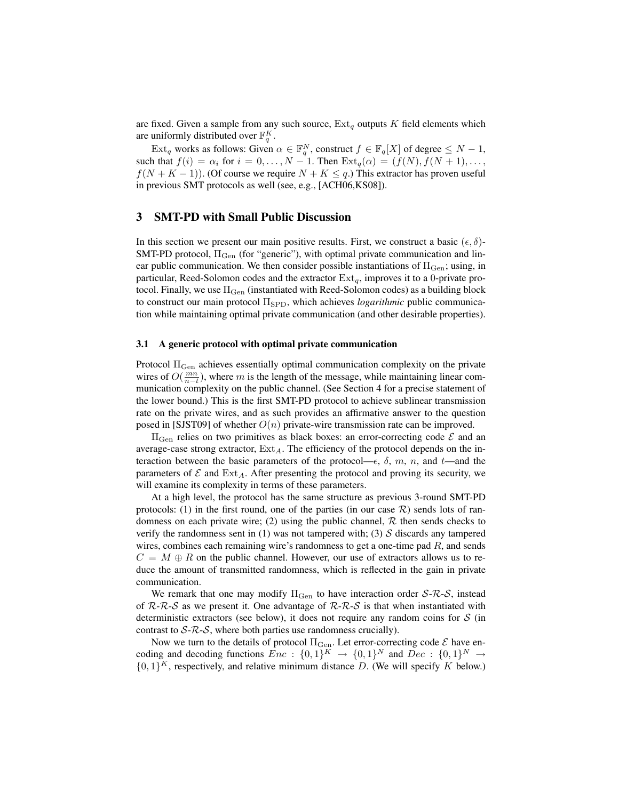are fixed. Given a sample from any such source,  $Ext_q$  outputs K field elements which are uniformly distributed over  $\mathbb{F}_q^K$ .

 $\text{Ext}_q$  works as follows: Given  $\alpha \in \mathbb{F}_q^N$ , construct  $f \in \mathbb{F}_q[X]$  of degree  $\leq N-1$ , such that  $f(i) = \alpha_i$  for  $i = 0, \ldots, N - 1$ . Then  $\text{Ext}_q(\alpha) = (f(N), f(N + 1), \ldots, f(N + 1))$  $f(N+K-1)$ ). (Of course we require  $N+K \leq q$ .) This extractor has proven useful in previous SMT protocols as well (see, e.g., [ACH06,KS08]).

# 3 SMT-PD with Small Public Discussion

In this section we present our main positive results. First, we construct a basic  $(\epsilon, \delta)$ -SMT-PD protocol,  $\Pi_{Gen}$  (for "generic"), with optimal private communication and linear public communication. We then consider possible instantiations of  $\Pi_{Gen}$ ; using, in particular, Reed-Solomon codes and the extractor  $Ext_q$ , improves it to a 0-private protocol. Finally, we use  $\Pi_{Gen}$  (instantiated with Reed-Solomon codes) as a building block to construct our main protocol Π<sub>SPD</sub>, which achieves *logarithmic* public communication while maintaining optimal private communication (and other desirable properties).

#### 3.1 A generic protocol with optimal private communication

Protocol Π<sub>Gen</sub> achieves essentially optimal communication complexity on the private wires of  $O(\frac{mn}{n-t})$ , where m is the length of the message, while maintaining linear communication complexity on the public channel. (See Section 4 for a precise statement of the lower bound.) This is the first SMT-PD protocol to achieve sublinear transmission rate on the private wires, and as such provides an affirmative answer to the question posed in [SJST09] of whether  $O(n)$  private-wire transmission rate can be improved.

 $\Pi_{\text{Gen}}$  relies on two primitives as black boxes: an error-correcting code  $\mathcal E$  and an average-case strong extractor,  $Ext_A$ . The efficiency of the protocol depends on the interaction between the basic parameters of the protocol— $\epsilon$ ,  $\delta$ ,  $m$ ,  $n$ , and  $t$ —and the parameters of  $\mathcal E$  and  $\operatorname{Ext}_A$ . After presenting the protocol and proving its security, we will examine its complexity in terms of these parameters.

At a high level, the protocol has the same structure as previous 3-round SMT-PD protocols: (1) in the first round, one of the parties (in our case  $\mathcal{R}$ ) sends lots of randomness on each private wire; (2) using the public channel,  $R$  then sends checks to verify the randomness sent in (1) was not tampered with; (3)  $\mathcal S$  discards any tampered wires, combines each remaining wire's randomness to get a one-time pad  $R$ , and sends  $C = M \oplus R$  on the public channel. However, our use of extractors allows us to reduce the amount of transmitted randomness, which is reflected in the gain in private communication.

We remark that one may modify  $\Pi_{\text{Gen}}$  to have interaction order  $S$ - $\mathcal{R}$ - $\mathcal{S}$ , instead of  $R-R-S$  as we present it. One advantage of  $R-R-S$  is that when instantiated with deterministic extractors (see below), it does not require any random coins for  $S$  (in contrast to  $S$ - $R$ - $S$ , where both parties use randomness crucially).

Now we turn to the details of protocol  $\Pi_{\rm Gen}$ . Let error-correcting code  ${\cal E}$  have encoding and decoding functions  $Enc$  :  $\{0,1\}^K \rightarrow \{0,1\}^N$  and  $Dec$  :  $\{0,1\}^N \rightarrow$  $\{0,1\}^K$ , respectively, and relative minimum distance D. (We will specify K below.)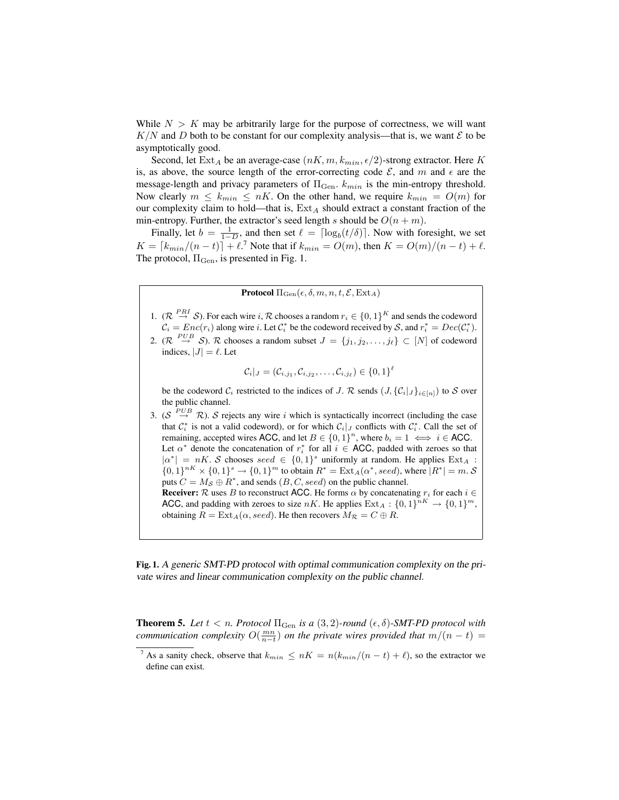While  $N > K$  may be arbitrarily large for the purpose of correctness, we will want  $K/N$  and D both to be constant for our complexity analysis—that is, we want  $\mathcal E$  to be asymptotically good.

Second, let  $\text{Ext}_A$  be an average-case  $(nK, m, k_{min}, \epsilon/2)$ -strong extractor. Here K is, as above, the source length of the error-correcting code  $\mathcal{E}$ , and m and  $\epsilon$  are the message-length and privacy parameters of  $\Pi_{\text{Gen}}$ .  $k_{min}$  is the min-entropy threshold. Now clearly  $m \leq k_{min} \leq nK$ . On the other hand, we require  $k_{min} = O(m)$  for our complexity claim to hold—that is,  $Ext_A$  should extract a constant fraction of the min-entropy. Further, the extractor's seed length s should be  $O(n + m)$ .

Finally, let  $b = \frac{1}{1-D}$ , and then set  $\ell = \lceil \log_b(t/\delta) \rceil$ . Now with foresight, we set  $K = \lceil k_{min}/(n - t) \rceil + \ell$ .<sup>7</sup> Note that if  $k_{min} = O(m)$ , then  $K = O(m)/(n - t) + \ell$ . The protocol,  $\Pi_{Gen}$ , is presented in Fig. 1.

**Protocol**  $\Pi_{Gen}(\epsilon, \delta, m, n, t, \mathcal{E}, \text{Ext}_{A})$ 

- 1.  $(\mathcal{R}^{PRI} \to S)$ . For each wire i,  $\mathcal R$  chooses a random  $r_i \in \{0,1\}^K$  and sends the codeword  $\mathcal{C}_i = Enc(r_i)$  along wire i. Let  $\mathcal{C}_i^*$  be the codeword received by S, and  $r_i^* = Dec(\mathcal{C}_i^*)$ .
- 2.  $(\mathcal{R} \stackrel{PUB}{\rightarrow} \mathcal{S})$ .  $\mathcal{R}$  chooses a random subset  $J = \{j_1, j_2, \ldots, j_\ell\} \subset [N]$  of codeword indices,  $|J| = \ell$ . Let

$$
\mathcal{C}_i|_J = (\mathcal{C}_{i,j_1}, \mathcal{C}_{i,j_2}, \ldots, \mathcal{C}_{i,j_\ell}) \in \{0,1\}^\ell
$$

be the codeword  $\mathcal{C}_i$  restricted to the indices of J. R sends  $(J, {\{\mathcal{C}_i\}}_{j \in [n]})$  to S over the public channel.

3. ( $S \stackrel{PUB}{\rightarrow} \mathcal{R}$ ). S rejects any wire i which is syntactically incorrect (including the case that  $\mathcal{C}_i^*$  is not a valid codeword), or for which  $\mathcal{C}_i|_J$  conflicts with  $\mathcal{C}_i^*$ . Call the set of remaining, accepted wires ACC, and let  $B \in \{0,1\}^n$ , where  $b_i = 1 \iff i \in \text{ACC}$ . Let  $\alpha^*$  denote the concatenation of  $r_i^*$  for all  $i \in ACC$ , padded with zeroes so that  $|\alpha^*| = nK$ . S chooses seed  $\in \{0,1\}^s$  uniformly at random. He applies  $\text{Ext}_A$ :  $\{0,1\}^{nK} \times \{0,1\}^s \to \{0,1\}^m$  to obtain  $R^* = \text{Ext}_A(\alpha^*,seed)$ , where  $|R^*| = m \ldotp S$ puts  $C = M_{\mathcal{S}} \oplus R^*$ , and sends  $(B, C, seed)$  on the public channel. **Receiver:** R uses B to reconstruct ACC. He forms  $\alpha$  by concatenating  $r_i$  for each  $i \in$ ACC, and padding with zeroes to size nK. He applies  $\text{Ext}_A: \{0,1\}^{nK} \to \{0,1\}^m$ , obtaining  $R = \text{Ext}_A(\alpha, seed)$ . He then recovers  $M_{\mathcal{R}} = C \oplus R$ .

Fig. 1. A generic SMT-PD protocol with optimal communication complexity on the private wires and linear communication complexity on the public channel.

**Theorem 5.** Let  $t < n$ . Protocol  $\Pi_{Gen}$  is a  $(3, 2)$ -round  $(\epsilon, \delta)$ -SMT-PD protocol with *communication complexity*  $O(\frac{mn}{n-t})$  *on the private wires provided that*  $m/(n-t)$  =

<sup>&</sup>lt;sup>7</sup> As a sanity check, observe that  $k_{min} \le nK = n(k_{min}/(n-t) + \ell)$ , so the extractor we define can exist.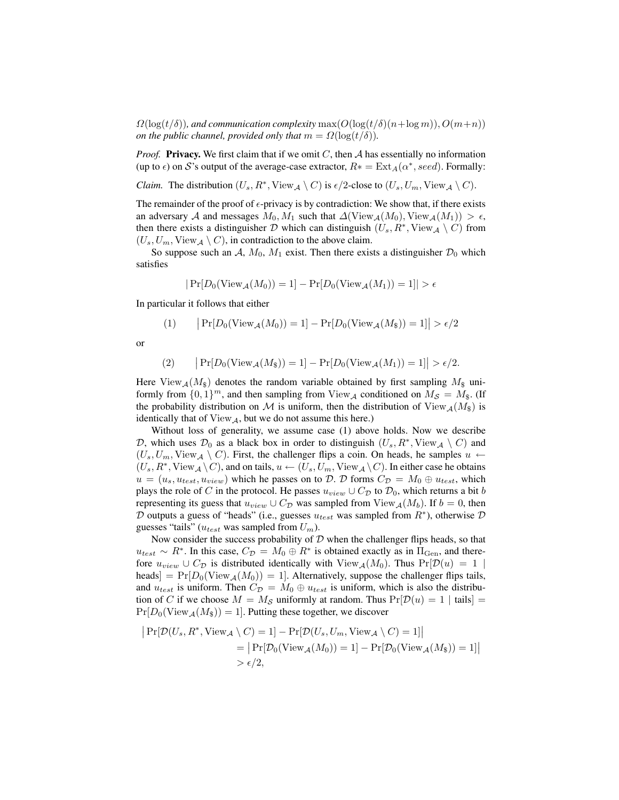$\Omega(\log(t/\delta))$ , and communication complexity  $\max(O(\log(t/\delta)(n+\log m)), O(m+n))$ *on the public channel, provided only that*  $m = \Omega(\log(t/\delta))$ *.* 

*Proof.* **Privacy.** We first claim that if we omit C, then A has essentially no information (up to  $\epsilon$ ) on S's output of the average-case extractor,  $R* = \text{Ext}_A(\alpha^*,seed)$ . Formally:

*Claim.* The distribution  $(U_s, R^*, View_\mathcal{A} \setminus C)$  is  $\epsilon/2$ -close to  $(U_s, U_m, View_\mathcal{A} \setminus C)$ .

The remainder of the proof of  $\epsilon$ -privacy is by contradiction: We show that, if there exists an adversary A and messages  $M_0, M_1$  such that  $\Delta$ (View $_A(M_0),$ View $_A(M_1)) > \epsilon$ , then there exists a distinguisher D which can distinguish  $(U_s, R^*, View_{\mathcal{A}} \setminus C)$  from  $(U_s, U_m, View_A \setminus C)$ , in contradiction to the above claim.

So suppose such an A,  $M_0$ ,  $M_1$  exist. Then there exists a distinguisher  $\mathcal{D}_0$  which satisfies

$$
|\Pr[D_0(\text{View}_{\mathcal{A}}(M_0)) = 1] - \Pr[D_0(\text{View}_{\mathcal{A}}(M_1)) = 1]| > \epsilon
$$

In particular it follows that either

(1) 
$$
|\Pr[D_0(\text{View}_{\mathcal{A}}(M_0)) = 1] - \Pr[D_0(\text{View}_{\mathcal{A}}(M_{\$})) = 1]| > \epsilon/2
$$

or

$$
(2) \qquad \big|\Pr[D_0(\text{View}_{\mathcal{A}}(M_{\$}))=1]-\Pr[D_0(\text{View}_{\mathcal{A}}(M_1))=1]\big| > \epsilon/2.
$$

Here  $View_{\mathcal{A}}(M_{\mathcal{S}})$  denotes the random variable obtained by first sampling  $M_{\mathcal{S}}$  uniformly from  $\{0,1\}^m$ , and then sampling from  $View_{\mathcal{A}}$  conditioned on  $M_{\mathcal{S}} = M_{\$}$ . (If the probability distribution on M is uniform, then the distribution of  $View_{\mathcal{A}}(M_{\hat{s}})$  is identically that of  $View_A$ , but we do not assume this here.)

Without loss of generality, we assume case (1) above holds. Now we describe D, which uses  $\mathcal{D}_0$  as a black box in order to distinguish  $(U_s, R^*, View_{\mathcal{A}} \setminus C)$  and  $(U_s, U_m, \text{View}_{\mathcal{A}} \setminus C)$ . First, the challenger flips a coin. On heads, he samples  $u \leftarrow$  $(U_s, R^*, View_\mathcal{A} \setminus C)$ , and on tails,  $u \leftarrow (U_s, U_m, View_\mathcal{A} \setminus C)$ . In either case he obtains  $u = (u_s, u_{test}, u_{view})$  which he passes on to D. D forms  $C_{\mathcal{D}} = M_0 \oplus u_{test}$ , which plays the role of C in the protocol. He passes  $u_{view} \cup C_{\mathcal{D}}$  to  $\mathcal{D}_0$ , which returns a bit b representing its guess that  $u_{view} \cup C_{\mathcal{D}}$  was sampled from  $View_{\mathcal{A}}(M_b)$ . If  $b = 0$ , then D outputs a guess of "heads" (i.e., guesses  $u_{test}$  was sampled from  $R^*$ ), otherwise D guesses "tails" ( $u_{test}$  was sampled from  $U_m$ ).

Now consider the success probability of  $D$  when the challenger flips heads, so that  $u_{test} \sim R^*$ . In this case,  $C_{\mathcal{D}} = M_0 \oplus R^*$  is obtained exactly as in  $\Pi_{Gen}$ , and therefore  $u_{view} \cup C_{\mathcal{D}}$  is distributed identically with  $View_{\mathcal{A}}(M_0)$ . Thus  $Pr[\mathcal{D}(u) = 1]$ heads] =  $Pr[D_0(View_A(M_0)) = 1]$ . Alternatively, suppose the challenger flips tails, and  $u_{test}$  is uniform. Then  $C_{\mathcal{D}} = M_0 \oplus u_{test}$  is uniform, which is also the distribution of C if we choose  $M = M_{\mathcal{S}}$  uniformly at random. Thus  $Pr[\mathcal{D}(u) = 1 | \text{tails}] =$  $Pr[D_0(\text{View}_{\mathcal{A}}(M_{\$})) = 1]$ . Putting these together, we discover

$$
|\Pr[\mathcal{D}(U_s, R^*, \text{View}_{\mathcal{A}} \setminus C) = 1] - \Pr[\mathcal{D}(U_s, U_m, \text{View}_{\mathcal{A}} \setminus C) = 1]|
$$
  
=  $|\Pr[\mathcal{D}_0(\text{View}_{\mathcal{A}}(M_0)) = 1] - \Pr[\mathcal{D}_0(\text{View}_{\mathcal{A}}(M_{\$})) = 1]|$   
>  $\epsilon/2$ ,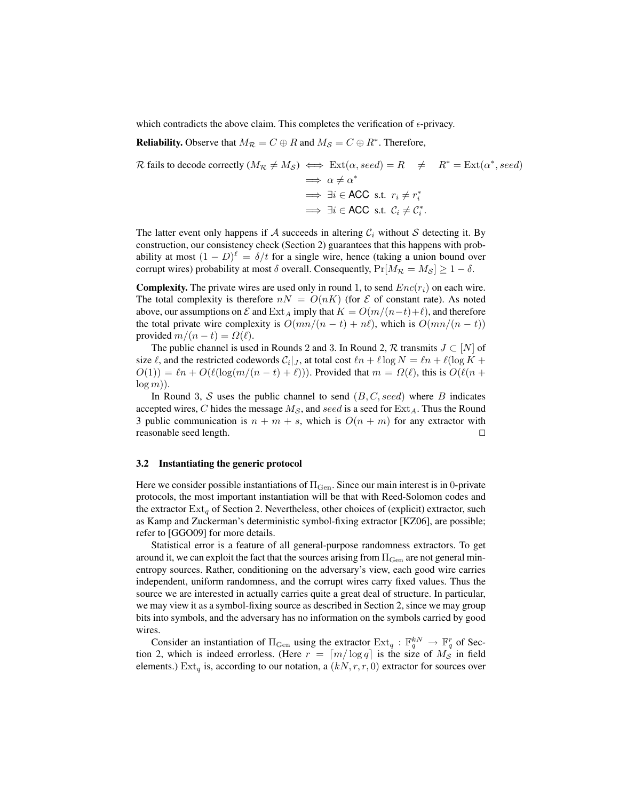which contradicts the above claim. This completes the verification of  $\epsilon$ -privacy.

**Reliability.** Observe that  $M_{\mathcal{R}} = C \oplus R$  and  $M_{\mathcal{S}} = C \oplus R^*$ . Therefore,

$$
\mathcal{R} \text{ fails to decode correctly } (M_{\mathcal{R}} \neq M_{\mathcal{S}}) \iff \text{Ext}(\alpha, \text{seed}) = R \quad \neq \quad R^* = \text{Ext}(\alpha^*, \text{seed})
$$
\n
$$
\implies \alpha \neq \alpha^*
$$
\n
$$
\implies \exists i \in \text{ACC s.t. } r_i \neq r_i^*
$$
\n
$$
\implies \exists i \in \text{ACC s.t. } C_i \neq C_i^*.
$$

The latter event only happens if A succeeds in altering  $C_i$  without S detecting it. By construction, our consistency check (Section 2) guarantees that this happens with probability at most  $(1 - D)^{\ell} = \delta/t$  for a single wire, hence (taking a union bound over corrupt wires) probability at most  $\delta$  overall. Consequently,  $Pr[M_R = M_S] \ge 1 - \delta$ .

**Complexity.** The private wires are used only in round 1, to send  $Enc(r_i)$  on each wire. The total complexity is therefore  $nN = O(nK)$  (for  $\mathcal E$  of constant rate). As noted above, our assumptions on  $\mathcal E$  and  $\text{Ext}_A$  imply that  $K = O(m/(n-t)+\ell)$ , and therefore the total private wire complexity is  $O(mn/(n - t) + n\ell)$ , which is  $O(mn/(n - t))$ provided  $m/(n-t) = \Omega(\ell)$ .

The public channel is used in Rounds 2 and 3. In Round 2,  $\mathcal R$  transmits  $J \subset [N]$  of size  $\ell$ , and the restricted codewords  $C_i|_J$ , at total cost  $\ell n + \ell \log N = \ell n + \ell (\log K + \ell)$  $O(1) = \ln P + O(\ell(\log(m/(n - t) + \ell)))$ . Provided that  $m = \Omega(\ell)$ , this is  $O(\ell(n + t))$ .  $log(m)$ ).

In Round 3, S uses the public channel to send  $(B, C, seed)$  where B indicates accepted wires, C hides the message  $M_{\mathcal{S}}$ , and seed is a seed for  $\text{Ext}_{A}$ . Thus the Round 3 public communication is  $n + m + s$ , which is  $O(n + m)$  for any extractor with  $r$ easonable seed length.  $\Box$ 

#### 3.2 Instantiating the generic protocol

Here we consider possible instantiations of  $\Pi_{Gen}$ . Since our main interest is in 0-private protocols, the most important instantiation will be that with Reed-Solomon codes and the extractor  $Ext_{\alpha}$  of Section 2. Nevertheless, other choices of (explicit) extractor, such as Kamp and Zuckerman's deterministic symbol-fixing extractor [KZ06], are possible; refer to [GGO09] for more details.

Statistical error is a feature of all general-purpose randomness extractors. To get around it, we can exploit the fact that the sources arising from  $\Pi_{Gen}$  are not general minentropy sources. Rather, conditioning on the adversary's view, each good wire carries independent, uniform randomness, and the corrupt wires carry fixed values. Thus the source we are interested in actually carries quite a great deal of structure. In particular, we may view it as a symbol-fixing source as described in Section 2, since we may group bits into symbols, and the adversary has no information on the symbols carried by good wires.

Consider an instantiation of  $\Pi_{Gen}$  using the extractor  $Ext_q : \mathbb{F}_q^{kN} \to \mathbb{F}_q^r$  of Section 2, which is indeed errorless. (Here  $r = \lfloor m/\log q \rfloor$  is the size of  $M_{\mathcal{S}}$  in field elements.) Ext<sub>q</sub> is, according to our notation, a  $(kN, r, r, 0)$  extractor for sources over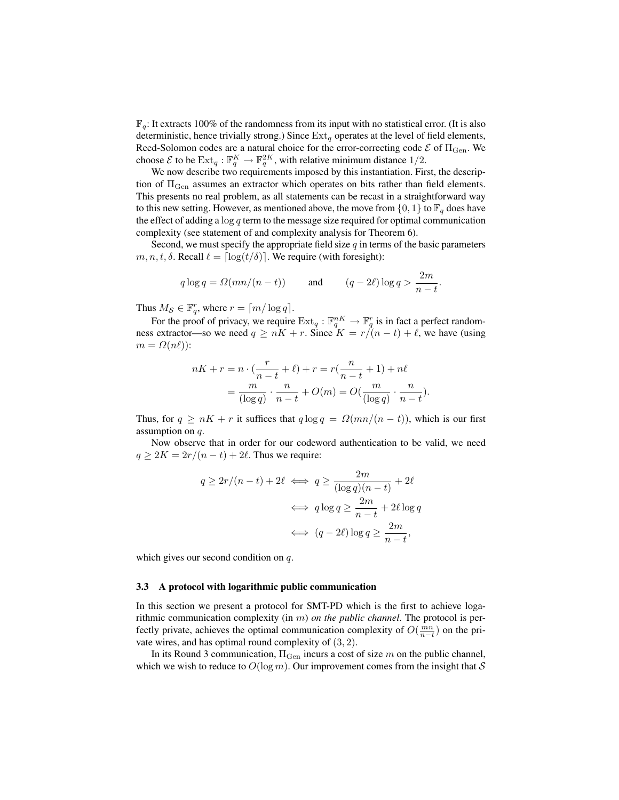$\mathbb{F}_q$ : It extracts 100% of the randomness from its input with no statistical error. (It is also deterministic, hence trivially strong.) Since  $Ext_q$  operates at the level of field elements, Reed-Solomon codes are a natural choice for the error-correcting code  $\mathcal E$  of  $\Pi_{\rm Gen}$ . We choose  $\mathcal E$  to be  $\text{Ext}_q : \mathbb F_q^K \to \mathbb F_q^{2K}$ , with relative minimum distance  $1/2$ .

We now describe two requirements imposed by this instantiation. First, the description of  $\Pi_{\text{Gen}}$  assumes an extractor which operates on bits rather than field elements. This presents no real problem, as all statements can be recast in a straightforward way to this new setting. However, as mentioned above, the move from  $\{0, 1\}$  to  $\mathbb{F}_q$  does have the effect of adding a  $\log q$  term to the message size required for optimal communication complexity (see statement of and complexity analysis for Theorem 6).

Second, we must specify the appropriate field size  $q$  in terms of the basic parameters  $m, n, t, \delta$ . Recall  $\ell = \lceil \log(t/\delta) \rceil$ . We require (with foresight):

$$
q \log q = \Omega(mn/(n-t))
$$
 and  $(q-2\ell) \log q > \frac{2m}{n-t}$ .

Thus  $M_{\mathcal{S}} \in \mathbb{F}_q^r$ , where  $r = \lceil m / \log q \rceil$ .

For the proof of privacy, we require  $\mathrm{Ext}_q : \mathbb{F}_q^{nK} \to \mathbb{F}_q^r$  is in fact a perfect randomness extractor—so we need  $q \ge nK + r$ . Since  $K = r/(n - t) + \ell$ , we have (using  $m = \Omega(n\ell)$ :

$$
nK + r = n \cdot \left(\frac{r}{n-t} + \ell\right) + r = r\left(\frac{n}{n-t} + 1\right) + n\ell
$$
  
= 
$$
\frac{m}{(\log q)} \cdot \frac{n}{n-t} + O(m) = O\left(\frac{m}{(\log q)} \cdot \frac{n}{n-t}\right).
$$

Thus, for  $q \ge nK + r$  it suffices that  $q \log q = \Omega(mn/(n-t))$ , which is our first assumption on q.

Now observe that in order for our codeword authentication to be valid, we need  $q \geq 2K = 2r/(n - t) + 2\ell$ . Thus we require:

$$
q \ge 2r/(n-t) + 2\ell \iff q \ge \frac{2m}{(\log q)(n-t)} + 2\ell
$$

$$
\iff q \log q \ge \frac{2m}{n-t} + 2\ell \log q
$$

$$
\iff (q - 2\ell) \log q \ge \frac{2m}{n-t},
$$

which gives our second condition on q.

#### 3.3 A protocol with logarithmic public communication

In this section we present a protocol for SMT-PD which is the first to achieve logarithmic communication complexity (in m) *on the public channel*. The protocol is perfectly private, achieves the optimal communication complexity of  $O(\frac{mn}{n-t})$  on the private wires, and has optimal round complexity of  $(3, 2)$ .

In its Round 3 communication,  $\Pi_{Gen}$  incurs a cost of size m on the public channel, which we wish to reduce to  $O(\log m)$ . Our improvement comes from the insight that S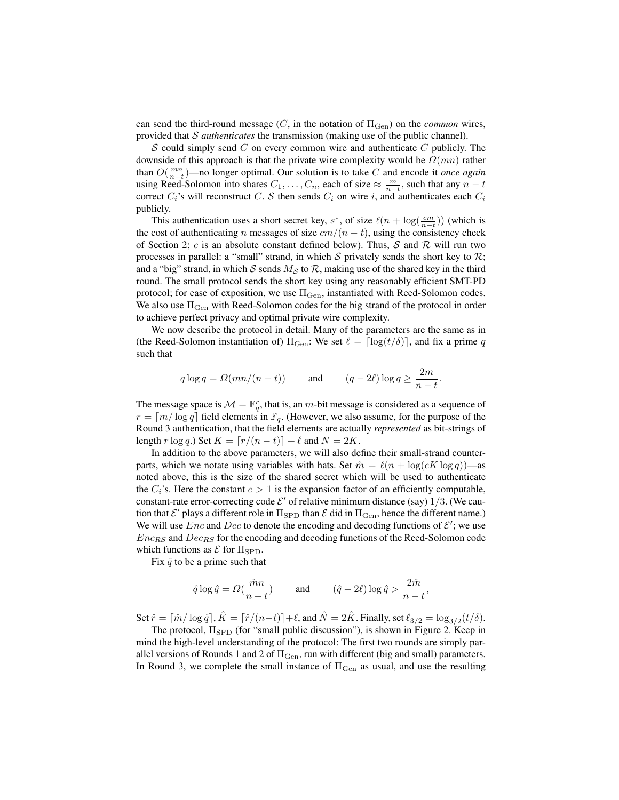can send the third-round message  $(C, \text{ in the notation of } \Pi_{Gen})$  on the *common* wires, provided that S *authenticates* the transmission (making use of the public channel).

 $S$  could simply send  $C$  on every common wire and authenticate  $C$  publicly. The downside of this approach is that the private wire complexity would be  $\Omega(mn)$  rather than  $O(\frac{mn}{n-t})$ —no longer optimal. Our solution is to take C and encode it *once again* using Reed-Solomon into shares  $C_1, \ldots, C_n$ , each of size  $\approx \frac{m}{n-t}$ , such that any  $n-t$ correct  $C_i$ 's will reconstruct C. S then sends  $C_i$  on wire i, and authenticates each  $C_i$ publicly.

This authentication uses a short secret key,  $s^*$ , of size  $\ell(n + \log(\frac{cm}{n-t}))$  (which is the cost of authenticating n messages of size  $cm/(n-t)$ , using the consistency check of Section 2; c is an absolute constant defined below). Thus, S and R will run two processes in parallel: a "small" strand, in which  $S$  privately sends the short key to  $R$ ; and a "big" strand, in which S sends  $M<sub>S</sub>$  to R, making use of the shared key in the third round. The small protocol sends the short key using any reasonably efficient SMT-PD protocol; for ease of exposition, we use  $\Pi_{\rm Gen}$ , instantiated with Reed-Solomon codes. We also use  $\Pi_{\text{Gen}}$  with Reed-Solomon codes for the big strand of the protocol in order to achieve perfect privacy and optimal private wire complexity.

We now describe the protocol in detail. Many of the parameters are the same as in (the Reed-Solomon instantiation of)  $\Pi_{Gen}$ : We set  $\ell = \lceil \log(t/\delta) \rceil$ , and fix a prime q such that

$$
q\log q = \varOmega(mn/(n-t)) \qquad \text{and} \qquad (q-2\ell)\log q \geq \frac{2m}{n-t}.
$$

The message space is  $\mathcal{M} = \mathbb{F}_q^r$ , that is, an m-bit message is considered as a sequence of  $r = \lceil m / \log q \rceil$  field elements in  $\mathbb{F}_q$ . (However, we also assume, for the purpose of the Round 3 authentication, that the field elements are actually *represented* as bit-strings of length r log q.) Set  $K = \lfloor r/(n - t) \rfloor + \ell$  and  $N = 2K$ .

In addition to the above parameters, we will also define their small-strand counterparts, which we notate using variables with hats. Set  $\hat{m} = \ell(n + \log(cK \log q))$ —as noted above, this is the size of the shared secret which will be used to authenticate the  $C_i$ 's. Here the constant  $c > 1$  is the expansion factor of an efficiently computable, constant-rate error-correcting code  $\mathcal{E}'$  of relative minimum distance (say)  $1/3$ . (We caution that  $\mathcal{E}'$  plays a different role in  $\Pi_{\rm SPD}$  than  $\mathcal E$  did in  $\Pi_{\rm Gen}$ , hence the different name.) We will use  $Enc$  and  $Dec$  to denote the encoding and decoding functions of  $\mathcal{E}'$ ; we use  $Enc<sub>RS</sub>$  and  $Dec<sub>RS</sub>$  for the encoding and decoding functions of the Reed-Solomon code which functions as  $\mathcal E$  for  $\Pi_{\text{SPD}}$ .

Fix  $\hat{q}$  to be a prime such that

$$
\hat{q} \log \hat{q} = \Omega(\frac{\hat{m}n}{n-t})
$$
 and  $(\hat{q} - 2\ell) \log \hat{q} > \frac{2\hat{m}}{n-t}$ ,

Set  $\hat{r} = \lceil \hat{m} / \log \hat{q} \rceil$ ,  $\hat{K} = \lceil \hat{r} / (n - t) \rceil + \ell$ , and  $\hat{N} = 2\hat{K}$ . Finally, set  $\ell_{3/2} = \log_{3/2}(t/\delta)$ .

The protocol,  $\Pi_{\rm SPD}$  (for "small public discussion"), is shown in Figure 2. Keep in mind the high-level understanding of the protocol: The first two rounds are simply parallel versions of Rounds 1 and 2 of  $\Pi_{\rm Gen}$ , run with different (big and small) parameters. In Round 3, we complete the small instance of  $\Pi_{Gen}$  as usual, and use the resulting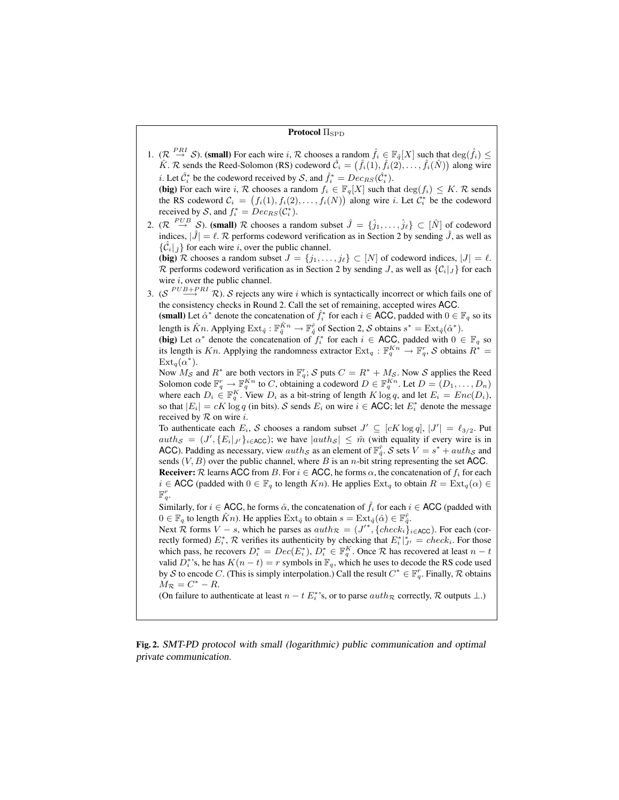#### **Protocol** Π<sub>SPD</sub>

1.  $(\mathcal{R} \stackrel{PRI}{\rightarrow} \mathcal{S})$ . (small) For each wire i,  $\mathcal{R}$  chooses a random  $\hat{f}_i \in \mathbb{F}_{\hat{q}}[X]$  such that  $\deg(\hat{f}_i) \leq$  $\hat{K}$ . R sends the Reed-Solomon (RS) codeword  $\hat{\mathcal{C}}_i = (\hat{f}_i(1), \hat{f}_i(2), \dots, \hat{f}_i(\hat{N}))$  along wire *i*. Let  $\hat{C}_i^*$  be the codeword received by S, and  $\hat{f}_i^* = Dec_{RS}(\hat{C}_i^*)$ .

(big) For each wire i, R chooses a random  $f_i \in \mathbb{F}_q[X]$  such that  $\deg(f_i) \leq K$ . R sends the RS codeword  $C_i = (f_i(1), f_i(2), \ldots, f_i(N))$  along wire *i*. Let  $C_i^*$  be the codeword received by S, and  $f_i^* = Dec_{RS}(\mathcal{C}_i^*)$ .

2.  $(\mathcal{R} \stackrel{PUB}{\rightarrow} \mathcal{S})$ . (small)  $\mathcal{R}$  chooses a random subset  $\hat{J} = \{\hat{j}_1, \ldots, \hat{j}_\ell\} \subset [\hat{N}]$  of codeword indices,  $|\hat{J}| = \ell$ . R performs codeword verification as in Section 2 by sending  $\hat{J}$ , as well as  $\{\mathcal{C}_i\}_{\hat{\imath}}\}$  for each wire i, over the public channel.

(big) R chooses a random subset  $J = \{j_1, \ldots, j_\ell\} \subset [N]$  of codeword indices,  $|J| = \ell$ . R performs codeword verification as in Section 2 by sending J, as well as  $\{C_i|_J\}$  for each wire  $i$ , over the public channel.

3. ( $S \stackrel{PUB+PRI}{\longrightarrow} \mathcal{R}$ ). S rejects any wire i which is syntactically incorrect or which fails one of the consistency checks in Round 2. Call the set of remaining, accepted wires ACC.

(small) Let  $\hat{\alpha}^*$  denote the concatenation of  $\hat{f}_i^*$  for each  $i \in \text{ACC}$ , padded with  $0 \in \mathbb{F}_q$  so its length is  $\hat{K}n$ . Applying  $\text{Ext}_{\hat{q}} : \mathbb{F}_{\hat{q}}^{\hat{K}n} \to \mathbb{F}_{\hat{q}}^{\hat{r}}$  of Section 2,  $S$  obtains  $s^* = \text{Ext}_{\hat{q}}(\hat{\alpha}^*)$ .

(big) Let  $\alpha^*$  denote the concatenation of  $f_i^*$  for each  $i \in$  ACC, padded with  $0 \in \mathbb{F}_q$  so its length is Kn. Applying the randomness extractor  $Ext_q : \mathbb{F}_q^{Kn} \to \mathbb{F}_q^r$ , S obtains  $R^* =$  $\mathrm{Ext}_q(\alpha^*).$ 

Now  $M_{\mathcal{S}}$  and  $R^*$  are both vectors in  $\mathbb{F}_q^r$ ;  $\mathcal{S}$  puts  $C = R^* + M_{\mathcal{S}}$ . Now  $\mathcal{S}$  applies the Reed Solomon code  $\mathbb{F}_q^r \to \mathbb{F}_q^{Kn}$  to C, obtaining a codeword  $D \in \mathbb{F}_q^{Kn}$ . Let  $D = (D_1, \ldots, D_n)$ where each  $D_i \in \mathbb{F}_q^K$ . View  $D_i$  as a bit-string of length  $K \log q$ , and let  $E_i = Enc(D_i)$ , so that  $|E_i| = cK \log q$  (in bits). S sends  $E_i$  on wire  $i \in \text{ACC}$ ; let  $E_i^*$  denote the message received by  $R$  on wire *i*.

To authenticate each  $E_i$ , S chooses a random subset  $J' \subseteq [cK \log q]$ ,  $|J'| = \ell_{3/2}$ . Put  $auth_{\mathcal{S}} = (J', \{E_i|_{J'}\}_{i \in \text{ACC}})$ ; we have  $|auth_{\mathcal{S}}| \leq \hat{m}$  (with equality if every wire is in ACC). Padding as necessary, view  $auth_{\mathcal{S}}$  as an element of  $\mathbb{F}_{q}^{\hat{r}}$ .  $\mathcal{S}$  sets  $V = s^* +auth_{\mathcal{S}}$  and sends  $(V, B)$  over the public channel, where B is an *n*-bit string representing the set ACC. **Receiver:**  $\mathcal R$  learns ACC from B. For  $i \in$  ACC, he forms  $\alpha$ , the concatenation of  $f_i$  for each  $i \in \text{ACC}$  (padded with  $0 \in \mathbb{F}_q$  to length  $Kn$ ). He applies  $\text{Ext}_q$  to obtain  $R = \text{Ext}_q(\alpha) \in$  $\mathbb{F}_q^r$ .

Similarly, for  $i \in$  ACC, he forms  $\hat{\alpha}$ , the concatenation of  $\hat{f}_i$  for each  $i \in$  ACC (padded with  $0 \in \mathbb{F}_q$  to length  $\hat{K}n$ ). He applies  $\mathrm{Ext}_{\hat{q}}$  to obtain  $s = \mathrm{Ext}_{\hat{q}}(\hat{\alpha}) \in \mathbb{F}_{\hat{q}}^{\hat{r}}$ .

Next  $\mathcal R$  forms  $V - s$ , which he parses as  $auth_{\mathcal R} = (J'^*, \{check_{i}\}_{i \in ACC})$ . For each (correctly formed)  $E_i^*$ ,  $R$  verifies its authenticity by checking that  $E_i^*|_{J'}^* = check_i$ . For those which pass, he recovers  $D_i^* = Dec(E_i^*), D_i^* \in \mathbb{F}_q^K$ . Once R has recovered at least  $n-t$ valid  $D_i^*$ 's, he has  $K(n-t) = r$  symbols in  $\mathbb{F}_q$ , which he uses to decode the RS code used by S to encode C. (This is simply interpolation.) Call the result  $C^* \in \mathbb{F}_q^r$ . Finally, R obtains  $M_{\mathcal{R}} = C^* - R$ .

(On failure to authenticate at least  $n - t E_i^*$ 's, or to parse  $auth_{\mathcal{R}}$  correctly,  $\mathcal{R}$  outputs  $\perp$ .)

Fig. 2. SMT-PD protocol with small (logarithmic) public communication and optimal private communication.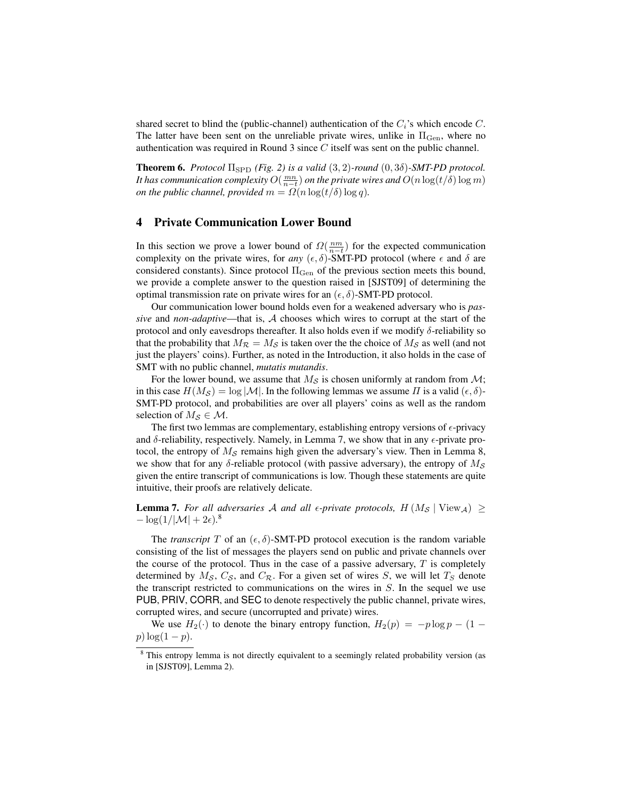shared secret to blind the (public-channel) authentication of the  $C_i$ 's which encode  $C$ . The latter have been sent on the unreliable private wires, unlike in  $\Pi_{Gen}$ , where no authentication was required in Round 3 since C itself was sent on the public channel.

**Theorem 6.** *Protocol*  $\Pi_{\text{SPD}}$  *(Fig. 2) is a valid*  $(3, 2)$ *-round*  $(0, 3\delta)$ *-SMT-PD protocol.* It has communication complexity  $O(\frac{mn}{n-t})$  on the private wires and  $O(n\log(t/\delta)\log m)$ *on the public channel, provided*  $m = \Omega(n \log(t/\delta) \log q)$ *.* 

# 4 Private Communication Lower Bound

In this section we prove a lower bound of  $\Omega(\frac{nm}{n-t})$  for the expected communication complexity on the private wires, for *any*  $(\epsilon, \delta)$ -SMT-PD protocol (where  $\epsilon$  and  $\delta$  are considered constants). Since protocol  $\Pi_{Gen}$  of the previous section meets this bound, we provide a complete answer to the question raised in [SJST09] of determining the optimal transmission rate on private wires for an  $(\epsilon, \delta)$ -SMT-PD protocol.

Our communication lower bound holds even for a weakened adversary who is *passive* and *non-adaptive*—that is, A chooses which wires to corrupt at the start of the protocol and only eavesdrops thereafter. It also holds even if we modify  $\delta$ -reliability so that the probability that  $M_{\mathcal{R}} = M_{\mathcal{S}}$  is taken over the the choice of  $M_{\mathcal{S}}$  as well (and not just the players' coins). Further, as noted in the Introduction, it also holds in the case of SMT with no public channel, *mutatis mutandis*.

For the lower bound, we assume that  $M<sub>S</sub>$  is chosen uniformly at random from  $M$ ; in this case  $H(M_S) = \log |\mathcal{M}|$ . In the following lemmas we assume  $\Pi$  is a valid  $(\epsilon, \delta)$ -SMT-PD protocol, and probabilities are over all players' coins as well as the random selection of  $M_S \in \mathcal{M}$ .

The first two lemmas are complementary, establishing entropy versions of  $\epsilon$ -privacy and  $\delta$ -reliability, respectively. Namely, in Lemma 7, we show that in any  $\epsilon$ -private protocol, the entropy of  $M<sub>S</sub>$  remains high given the adversary's view. Then in Lemma 8, we show that for any  $\delta$ -reliable protocol (with passive adversary), the entropy of  $M_S$ given the entire transcript of communications is low. Though these statements are quite intuitive, their proofs are relatively delicate.

**Lemma 7.** For all adversaries A and all  $\epsilon$ -private protocols,  $H(M_S | \text{View}_A) \geq$  $-\log(1/|\mathcal{M}| + 2\epsilon).$ <sup>8</sup>

The *transcript* T of an  $(\epsilon, \delta)$ -SMT-PD protocol execution is the random variable consisting of the list of messages the players send on public and private channels over the course of the protocol. Thus in the case of a passive adversary,  $T$  is completely determined by  $M_{\mathcal{S}}$ ,  $C_{\mathcal{S}}$ , and  $C_{\mathcal{R}}$ . For a given set of wires S, we will let  $T_{\mathcal{S}}$  denote the transcript restricted to communications on the wires in  $S$ . In the sequel we use PUB, PRIV, CORR, and SEC to denote respectively the public channel, private wires, corrupted wires, and secure (uncorrupted and private) wires.

We use  $H_2(\cdot)$  to denote the binary entropy function,  $H_2(p) = -p \log p - (1 - p)$  $p)$  log(1 – p).

<sup>&</sup>lt;sup>8</sup> This entropy lemma is not directly equivalent to a seemingly related probability version (as in [SJST09], Lemma 2).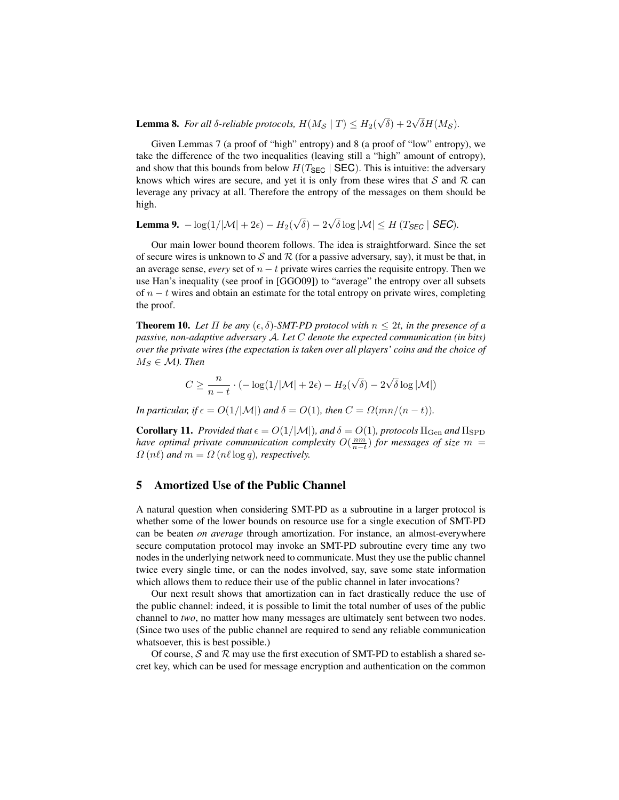**Lemma 8.** For all  $\delta$ -reliable protocols,  $H(M_{\mathcal{S}} | T) \leq H_2(\delta)$  $\sqrt{\delta}$ ) + 2 $\sqrt{\delta}H(M_{\mathcal{S}})$ .

Given Lemmas 7 (a proof of "high" entropy) and 8 (a proof of "low" entropy), we take the difference of the two inequalities (leaving still a "high" amount of entropy), and show that this bounds from below  $H(T_{\text{SEC}} | \text{SEC})$ . This is intuitive: the adversary knows which wires are secure, and yet it is only from these wires that  $S$  and  $R$  can leverage any privacy at all. Therefore the entropy of the messages on them should be high.

**Lemma 9.**  $-\log(1/|\mathcal{M}| + 2\epsilon) - H_2(k)$ √  $\delta$ ) – 2 √  $\delta \log |\mathcal{M}| \leq H \left(T_{\text{SEC }} \right| \text{SEC)}.$ 

Our main lower bound theorem follows. The idea is straightforward. Since the set of secure wires is unknown to  $S$  and  $R$  (for a passive adversary, say), it must be that, in an average sense, *every* set of  $n - t$  private wires carries the requisite entropy. Then we use Han's inequality (see proof in [GGO09]) to "average" the entropy over all subsets of  $n - t$  wires and obtain an estimate for the total entropy on private wires, completing the proof.

**Theorem 10.** Let  $\Pi$  be any  $(\epsilon, \delta)$ -SMT-PD protocol with  $n \leq 2t$ , in the presence of a *passive, non-adaptive adversary* A*. Let* C *denote the expected communication (in bits) over the private wires (the expectation is taken over all players' coins and the choice of*  $M_S \in \mathcal{M}$ ). Then

$$
C \ge \frac{n}{n-t} \cdot (-\log(1/|\mathcal{M}| + 2\epsilon) - H_2(\sqrt{\delta}) - 2\sqrt{\delta} \log |\mathcal{M}|)
$$

*In particular, if*  $\epsilon = O(1/|\mathcal{M}|)$  *and*  $\delta = O(1)$ *, then*  $C = \Omega(mn/(n-t))$ *.* 

**Corollary 11.** *Provided that*  $\epsilon = O(1/|\mathcal{M}|)$ *, and*  $\delta = O(1)$ *, protocols*  $\Pi_{\text{Gen}}$  *and*  $\Pi_{\text{SPD}}$ *have optimal private communication complexity*  $O(\frac{nm}{n-t})$  *for messages of size*  $m =$  $\Omega(n\ell)$  *and*  $m = \Omega(n\ell \log q)$ *, respectively.* 

### 5 Amortized Use of the Public Channel

A natural question when considering SMT-PD as a subroutine in a larger protocol is whether some of the lower bounds on resource use for a single execution of SMT-PD can be beaten *on average* through amortization. For instance, an almost-everywhere secure computation protocol may invoke an SMT-PD subroutine every time any two nodes in the underlying network need to communicate. Must they use the public channel twice every single time, or can the nodes involved, say, save some state information which allows them to reduce their use of the public channel in later invocations?

Our next result shows that amortization can in fact drastically reduce the use of the public channel: indeed, it is possible to limit the total number of uses of the public channel to *two*, no matter how many messages are ultimately sent between two nodes. (Since two uses of the public channel are required to send any reliable communication whatsoever, this is best possible.)

Of course,  $S$  and  $R$  may use the first execution of SMT-PD to establish a shared secret key, which can be used for message encryption and authentication on the common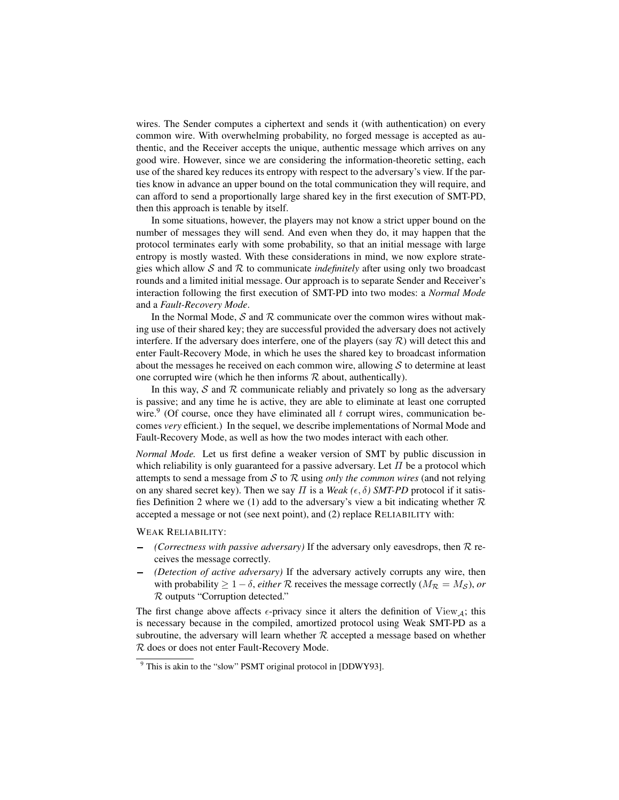wires. The Sender computes a ciphertext and sends it (with authentication) on every common wire. With overwhelming probability, no forged message is accepted as authentic, and the Receiver accepts the unique, authentic message which arrives on any good wire. However, since we are considering the information-theoretic setting, each use of the shared key reduces its entropy with respect to the adversary's view. If the parties know in advance an upper bound on the total communication they will require, and can afford to send a proportionally large shared key in the first execution of SMT-PD, then this approach is tenable by itself.

In some situations, however, the players may not know a strict upper bound on the number of messages they will send. And even when they do, it may happen that the protocol terminates early with some probability, so that an initial message with large entropy is mostly wasted. With these considerations in mind, we now explore strategies which allow S and R to communicate *indefinitely* after using only two broadcast rounds and a limited initial message. Our approach is to separate Sender and Receiver's interaction following the first execution of SMT-PD into two modes: a *Normal Mode* and a *Fault-Recovery Mode*.

In the Normal Mode,  $S$  and  $R$  communicate over the common wires without making use of their shared key; they are successful provided the adversary does not actively interfere. If the adversary does interfere, one of the players (say  $\mathcal{R}$ ) will detect this and enter Fault-Recovery Mode, in which he uses the shared key to broadcast information about the messages he received on each common wire, allowing  $S$  to determine at least one corrupted wire (which he then informs  $R$  about, authentically).

In this way,  $S$  and  $R$  communicate reliably and privately so long as the adversary is passive; and any time he is active, they are able to eliminate at least one corrupted wire.<sup>9</sup> (Of course, once they have eliminated all  $t$  corrupt wires, communication becomes *very* efficient.) In the sequel, we describe implementations of Normal Mode and Fault-Recovery Mode, as well as how the two modes interact with each other.

*Normal Mode.* Let us first define a weaker version of SMT by public discussion in which reliability is only guaranteed for a passive adversary. Let  $\Pi$  be a protocol which attempts to send a message from S to R using *only the common wires* (and not relying on any shared secret key). Then we say  $\Pi$  is a *Weak* ( $\epsilon$ ,  $\delta$ ) SMT-PD protocol if it satisfies Definition 2 where we (1) add to the adversary's view a bit indicating whether  $\mathcal R$ accepted a message or not (see next point), and (2) replace RELIABILITY with:

WEAK RELIABILITY:

- *(Correctness with passive adversary)* If the adversary only eavesdrops, then R receives the message correctly.
- *(Detection of active adversary)* If the adversary actively corrupts any wire, then with probability  $\geq 1 - \delta$ , *either* R receives the message correctly ( $M_R = M_S$ ), or R outputs "Corruption detected."

The first change above affects  $\epsilon$ -privacy since it alters the definition of View<sub>A</sub>; this is necessary because in the compiled, amortized protocol using Weak SMT-PD as a subroutine, the adversary will learn whether  $R$  accepted a message based on whether R does or does not enter Fault-Recovery Mode.

<sup>9</sup> This is akin to the "slow" PSMT original protocol in [DDWY93].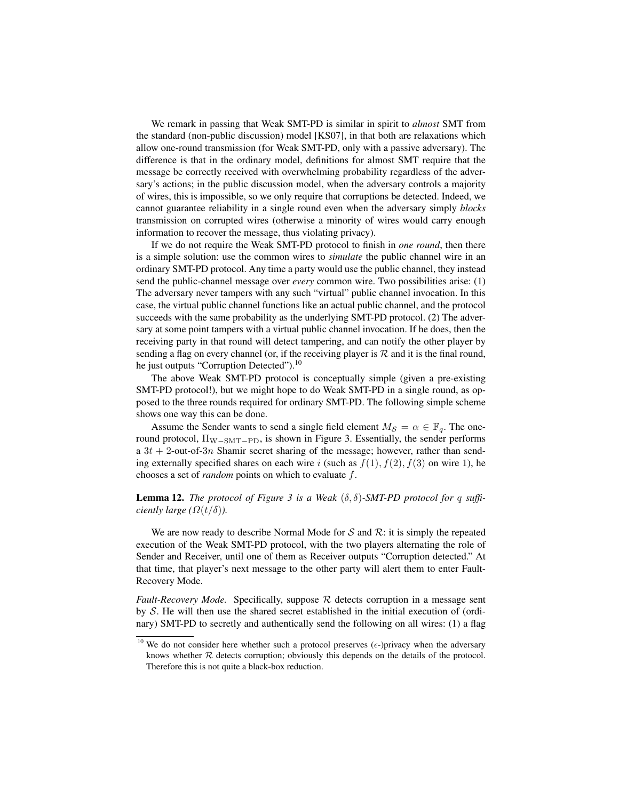We remark in passing that Weak SMT-PD is similar in spirit to *almost* SMT from the standard (non-public discussion) model [KS07], in that both are relaxations which allow one-round transmission (for Weak SMT-PD, only with a passive adversary). The difference is that in the ordinary model, definitions for almost SMT require that the message be correctly received with overwhelming probability regardless of the adversary's actions; in the public discussion model, when the adversary controls a majority of wires, this is impossible, so we only require that corruptions be detected. Indeed, we cannot guarantee reliability in a single round even when the adversary simply *blocks* transmission on corrupted wires (otherwise a minority of wires would carry enough information to recover the message, thus violating privacy).

If we do not require the Weak SMT-PD protocol to finish in *one round*, then there is a simple solution: use the common wires to *simulate* the public channel wire in an ordinary SMT-PD protocol. Any time a party would use the public channel, they instead send the public-channel message over *every* common wire. Two possibilities arise: (1) The adversary never tampers with any such "virtual" public channel invocation. In this case, the virtual public channel functions like an actual public channel, and the protocol succeeds with the same probability as the underlying SMT-PD protocol. (2) The adversary at some point tampers with a virtual public channel invocation. If he does, then the receiving party in that round will detect tampering, and can notify the other player by sending a flag on every channel (or, if the receiving player is  $R$  and it is the final round, he just outputs "Corruption Detected").<sup>10</sup>

The above Weak SMT-PD protocol is conceptually simple (given a pre-existing SMT-PD protocol!), but we might hope to do Weak SMT-PD in a single round, as opposed to the three rounds required for ordinary SMT-PD. The following simple scheme shows one way this can be done.

Assume the Sender wants to send a single field element  $M_{\mathcal{S}} = \alpha \in \mathbb{F}_q$ . The oneround protocol,  $\Pi_{\text{W-SMT-PD}}$ , is shown in Figure 3. Essentially, the sender performs a  $3t + 2$ -out-of-3n Shamir secret sharing of the message; however, rather than sending externally specified shares on each wire i (such as  $f(1)$ ,  $f(2)$ ,  $f(3)$  on wire 1), he chooses a set of *random* points on which to evaluate f.

# **Lemma 12.** *The protocol of Figure 3 is a Weak*  $(\delta, \delta)$ -SMT-PD protocol for q suffi*ciently large* ( $\Omega(t/\delta)$ ).

We are now ready to describe Normal Mode for  $S$  and  $R$ : it is simply the repeated execution of the Weak SMT-PD protocol, with the two players alternating the role of Sender and Receiver, until one of them as Receiver outputs "Corruption detected." At that time, that player's next message to the other party will alert them to enter Fault-Recovery Mode.

*Fault-Recovery Mode.* Specifically, suppose R detects corruption in a message sent by  $S$ . He will then use the shared secret established in the initial execution of (ordinary) SMT-PD to secretly and authentically send the following on all wires: (1) a flag

<sup>&</sup>lt;sup>10</sup> We do not consider here whether such a protocol preserves  $(\epsilon$ -)privacy when the adversary knows whether  $R$  detects corruption; obviously this depends on the details of the protocol. Therefore this is not quite a black-box reduction.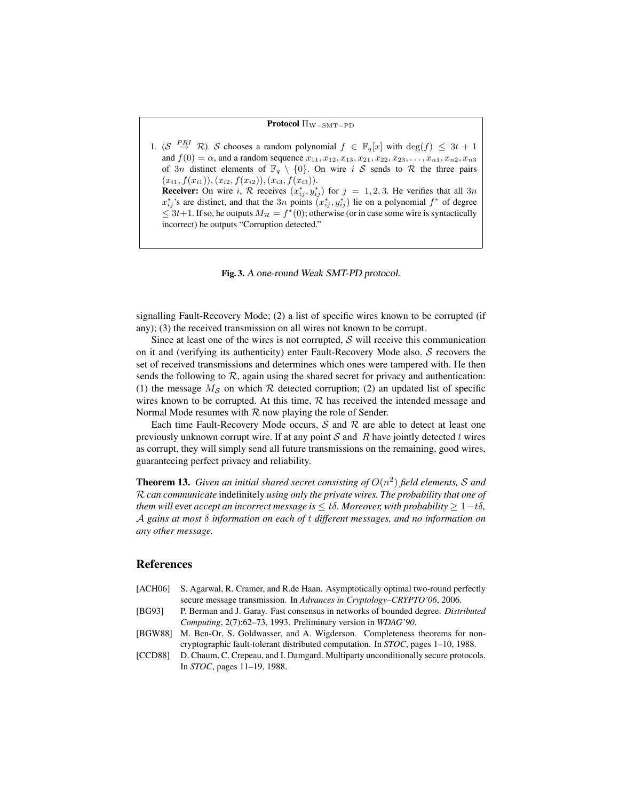### Protocol Π<sub>W−SMT−PD</sub>

1. (S  $\stackrel{PRI}{\rightarrow} \mathcal{R}$ ). S chooses a random polynomial  $f \in \mathbb{F}_q[x]$  with  $\deg(f) \leq 3t + 1$ and  $f(0) = \alpha$ , and a random sequence  $x_{11}, x_{12}, x_{13}, x_{21}, x_{22}, x_{23}, \ldots, x_{n1}, x_{n2}, x_{n3}$ of 3n distinct elements of  $\mathbb{F}_q \setminus \{0\}$ . On wire i S sends to R the three pairs  $(x_{i1}, f(x_{i1})), (x_{i2}, f(x_{i2})), (x_{i3}, f(x_{i3})).$ **Receiver:** On wire i, R receives  $(x_{ij}^*, y_{ij}^*)$  for  $j = 1, 2, 3$ . He verifies that all  $3n$  $x_{ij}^*$ 's are distinct, and that the 3n points  $(x_{ij}^*, y_{ij}^*)$  lie on a polynomial  $f^*$  of degree  $\leq 3t+1$ . If so, he outputs  $M_{\mathcal{R}} = f^*(0)$ ; otherwise (or in case some wire is syntactically incorrect) he outputs "Corruption detected."



signalling Fault-Recovery Mode; (2) a list of specific wires known to be corrupted (if any); (3) the received transmission on all wires not known to be corrupt.

Since at least one of the wires is not corrupted,  $S$  will receive this communication on it and (verifying its authenticity) enter Fault-Recovery Mode also. S recovers the set of received transmissions and determines which ones were tampered with. He then sends the following to  $R$ , again using the shared secret for privacy and authentication: (1) the message  $M<sub>S</sub>$  on which R detected corruption; (2) an updated list of specific wires known to be corrupted. At this time,  $R$  has received the intended message and Normal Mode resumes with  $R$  now playing the role of Sender.

Each time Fault-Recovery Mode occurs,  $S$  and  $R$  are able to detect at least one previously unknown corrupt wire. If at any point  $S$  and  $R$  have jointly detected t wires as corrupt, they will simply send all future transmissions on the remaining, good wires, guaranteeing perfect privacy and reliability.

**Theorem 13.** Given an initial shared secret consisting of  $O(n^2)$  field elements, S and R *can communicate* indefinitely *using only the private wires. The probability that one of them will* ever *accept an incorrect message is*  $\lt t\delta$ *. Moreover, with probability*  $> 1-t\delta$ *,* A *gains at most* δ *information on each of* t *different messages, and no information on any other message.*

### References

- [ACH06] S. Agarwal, R. Cramer, and R.de Haan. Asymptotically optimal two-round perfectly secure message transmission. In *Advances in Cryptology–CRYPTO'06*, 2006.
- [BG93] P. Berman and J. Garay. Fast consensus in networks of bounded degree. *Distributed Computing*, 2(7):62–73, 1993. Preliminary version in *WDAG'90*.
- [BGW88] M. Ben-Or, S. Goldwasser, and A. Wigderson. Completeness theorems for noncryptographic fault-tolerant distributed computation. In *STOC*, pages 1–10, 1988.
- [CCD88] D. Chaum, C. Crepeau, and I. Damgard. Multiparty unconditionally secure protocols. In *STOC*, pages 11–19, 1988.